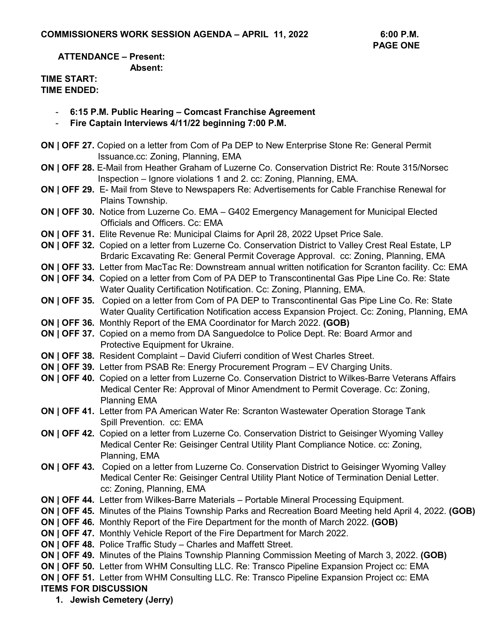**ATTENDANCE – Present: Absent:** 

## **TIME START: TIME ENDED:**

- **6:15 P.M. Public Hearing Comcast Franchise Agreement**
- **Fire Captain Interviews 4/11/22 beginning 7:00 P.M.**
- **ON | OFF 27.** Copied on a letter from Com of Pa DEP to New Enterprise Stone Re: General Permit Issuance.cc: Zoning, Planning, EMA
- **ON | OFF 28.** E-Mail from Heather Graham of Luzerne Co. Conservation District Re: Route 315/Norsec Inspection – Ignore violations 1 and 2. cc: Zoning, Planning, EMA.
- **ON | OFF 29.** E- Mail from Steve to Newspapers Re: Advertisements for Cable Franchise Renewal for Plains Township.
- **ON | OFF 30.** Notice from Luzerne Co. EMA G402 Emergency Management for Municipal Elected Officials and Officers. Cc: EMA
- **ON | OFF 31.** Elite Revenue Re: Municipal Claims for April 28, 2022 Upset Price Sale.
- **ON | OFF 32.** Copied on a letter from Luzerne Co. Conservation District to Valley Crest Real Estate, LP Brdaric Excavating Re: General Permit Coverage Approval. cc: Zoning, Planning, EMA
- **ON | OFF 33.** Letter from MacTac Re: Downstream annual written notification for Scranton facility. Cc: EMA
- **ON | OFF 34.** Copied on a letter from Com of PA DEP to Transcontinental Gas Pipe Line Co. Re: State Water Quality Certification Notification. Cc: Zoning, Planning, EMA.
- **ON | OFF 35.** Copied on a letter from Com of PA DEP to Transcontinental Gas Pipe Line Co. Re: State Water Quality Certification Notification access Expansion Project. Cc: Zoning, Planning, EMA
- **ON | OFF 36.** Monthly Report of the EMA Coordinator for March 2022. **(GOB)**
- **ON | OFF 37.** Copied on a memo from DA Sanguedolce to Police Dept. Re: Board Armor and Protective Equipment for Ukraine.
- **ON | OFF 38.** Resident Complaint David Ciuferri condition of West Charles Street.
- **ON | OFF 39.** Letter from PSAB Re: Energy Procurement Program EV Charging Units.
- **ON | OFF 40.** Copied on a letter from Luzerne Co. Conservation District to Wilkes-Barre Veterans Affairs Medical Center Re: Approval of Minor Amendment to Permit Coverage. Cc: Zoning, Planning EMA
- **ON | OFF 41.** Letter from PA American Water Re: Scranton Wastewater Operation Storage Tank Spill Prevention. cc: EMA
- **ON | OFF 42.** Copied on a letter from Luzerne Co. Conservation District to Geisinger Wyoming Valley Medical Center Re: Geisinger Central Utility Plant Compliance Notice. cc: Zoning, Planning, EMA
- **ON | OFF 43.** Copied on a letter from Luzerne Co. Conservation District to Geisinger Wyoming Valley Medical Center Re: Geisinger Central Utility Plant Notice of Termination Denial Letter. cc: Zoning, Planning, EMA
- **ON | OFF 44.** Letter from Wilkes-Barre Materials Portable Mineral Processing Equipment.
- **ON | OFF 45.** Minutes of the Plains Township Parks and Recreation Board Meeting held April 4, 2022. **(GOB)**
- **ON | OFF 46.** Monthly Report of the Fire Department for the month of March 2022. **(GOB)**
- **ON | OFF 47.** Monthly Vehicle Report of the Fire Department for March 2022.
- **ON | OFF 48.** Police Traffic Study Charles and Maffett Street.
- **ON | OFF 49.** Minutes of the Plains Township Planning Commission Meeting of March 3, 2022. **(GOB)**
- **ON | OFF 50.** Letter from WHM Consulting LLC. Re: Transco Pipeline Expansion Project cc: EMA
- **ON | OFF 51.** Letter from WHM Consulting LLC. Re: Transco Pipeline Expansion Project cc: EMA **ITEMS FOR DISCUSSION**
	- **1. Jewish Cemetery (Jerry)**